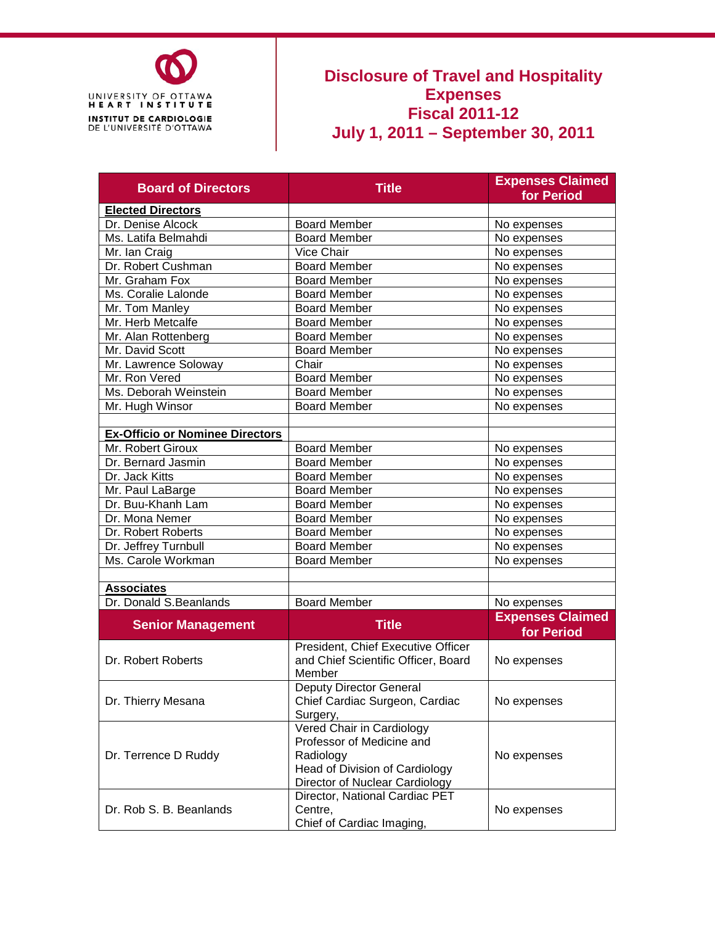

## **Disclosure of Travel and Hospitality Expenses Fiscal 2011-12 July 1, 2011 – September 30, 2011**

| <b>Board of Directors</b>              | <b>Title</b>                                                                                                                            | <b>Expenses Claimed</b><br>for Period |  |  |  |  |
|----------------------------------------|-----------------------------------------------------------------------------------------------------------------------------------------|---------------------------------------|--|--|--|--|
| <b>Elected Directors</b>               |                                                                                                                                         |                                       |  |  |  |  |
| Dr. Denise Alcock                      | <b>Board Member</b>                                                                                                                     | No expenses                           |  |  |  |  |
| Ms. Latifa Belmahdi                    | <b>Board Member</b>                                                                                                                     | No expenses                           |  |  |  |  |
| Mr. Ian Craig                          | Vice Chair                                                                                                                              | No expenses                           |  |  |  |  |
| Dr. Robert Cushman                     | <b>Board Member</b>                                                                                                                     | No expenses                           |  |  |  |  |
| Mr. Graham Fox                         | <b>Board Member</b>                                                                                                                     | No expenses                           |  |  |  |  |
| Ms. Coralie Lalonde                    | <b>Board Member</b>                                                                                                                     | No expenses                           |  |  |  |  |
| Mr. Tom Manley                         | <b>Board Member</b>                                                                                                                     | No expenses                           |  |  |  |  |
| Mr. Herb Metcalfe                      | <b>Board Member</b>                                                                                                                     | No expenses                           |  |  |  |  |
| Mr. Alan Rottenberg                    | <b>Board Member</b>                                                                                                                     | No expenses                           |  |  |  |  |
| Mr. David Scott                        | <b>Board Member</b>                                                                                                                     | No expenses                           |  |  |  |  |
| Mr. Lawrence Soloway                   | Chair                                                                                                                                   | No expenses                           |  |  |  |  |
| Mr. Ron Vered                          | <b>Board Member</b>                                                                                                                     | No expenses                           |  |  |  |  |
| Ms. Deborah Weinstein                  | <b>Board Member</b>                                                                                                                     | No expenses                           |  |  |  |  |
| Mr. Hugh Winsor                        | <b>Board Member</b>                                                                                                                     | No expenses                           |  |  |  |  |
|                                        |                                                                                                                                         |                                       |  |  |  |  |
| <b>Ex-Officio or Nominee Directors</b> |                                                                                                                                         |                                       |  |  |  |  |
| Mr. Robert Giroux                      | <b>Board Member</b>                                                                                                                     | No expenses                           |  |  |  |  |
| Dr. Bernard Jasmin                     | <b>Board Member</b>                                                                                                                     | No expenses                           |  |  |  |  |
| Dr. Jack Kitts                         | <b>Board Member</b>                                                                                                                     | No expenses                           |  |  |  |  |
| Mr. Paul LaBarge                       | <b>Board Member</b>                                                                                                                     | No expenses                           |  |  |  |  |
| Dr. Buu-Khanh Lam                      | <b>Board Member</b>                                                                                                                     | No expenses                           |  |  |  |  |
| Dr. Mona Nemer                         | <b>Board Member</b>                                                                                                                     | No expenses                           |  |  |  |  |
| Dr. Robert Roberts                     | <b>Board Member</b>                                                                                                                     | No expenses                           |  |  |  |  |
| Dr. Jeffrey Turnbull                   | <b>Board Member</b>                                                                                                                     | No expenses                           |  |  |  |  |
| Ms. Carole Workman                     | <b>Board Member</b>                                                                                                                     | No expenses                           |  |  |  |  |
|                                        |                                                                                                                                         |                                       |  |  |  |  |
| <b>Associates</b>                      |                                                                                                                                         |                                       |  |  |  |  |
| Dr. Donald S.Beanlands                 | <b>Board Member</b>                                                                                                                     | No expenses                           |  |  |  |  |
|                                        | <b>Title</b>                                                                                                                            | <b>Expenses Claimed</b>               |  |  |  |  |
| <b>Senior Management</b>               |                                                                                                                                         | for Period                            |  |  |  |  |
| Dr. Robert Roberts                     | President, Chief Executive Officer<br>and Chief Scientific Officer, Board<br>Member                                                     | No expenses                           |  |  |  |  |
| Dr. Thierry Mesana                     | Deputy Director General<br>Chief Cardiac Surgeon, Cardiac<br>Surgery,                                                                   | No expenses                           |  |  |  |  |
| Dr. Terrence D Ruddy                   | Vered Chair in Cardiology<br>Professor of Medicine and<br>Radiology<br>Head of Division of Cardiology<br>Director of Nuclear Cardiology | No expenses                           |  |  |  |  |
| Dr. Rob S. B. Beanlands                | Director, National Cardiac PET<br>Centre,<br>Chief of Cardiac Imaging,                                                                  | No expenses                           |  |  |  |  |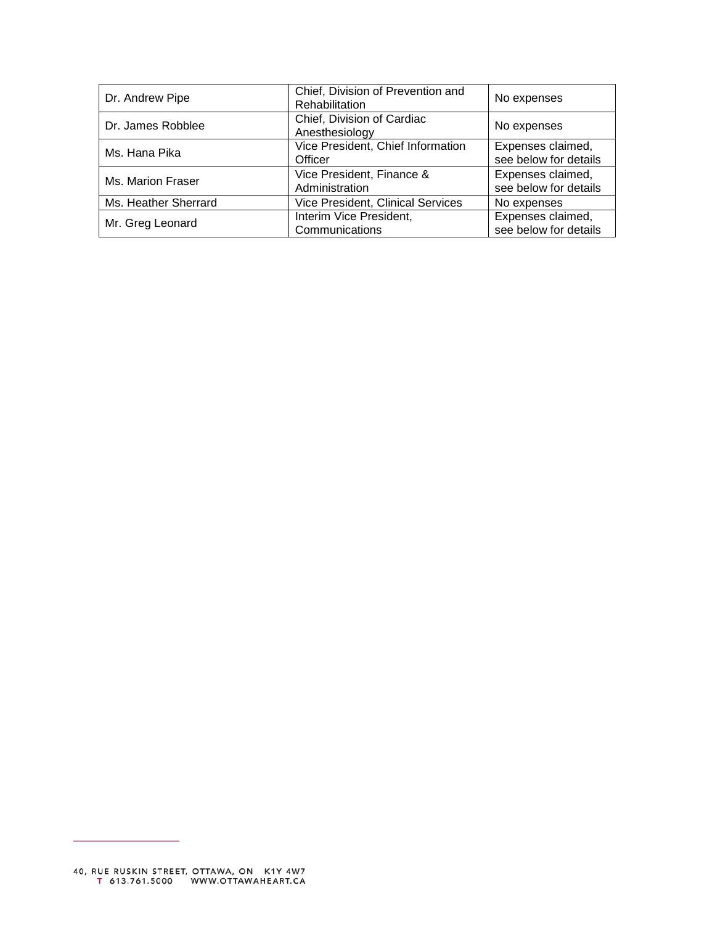| Dr. Andrew Pipe      | Chief, Division of Prevention and<br>Rehabilitation | No expenses                                |  |  |  |
|----------------------|-----------------------------------------------------|--------------------------------------------|--|--|--|
| Dr. James Robblee    | Chief, Division of Cardiac<br>Anesthesiology        | No expenses                                |  |  |  |
| Ms. Hana Pika        | Vice President, Chief Information<br>Officer        | Expenses claimed,<br>see below for details |  |  |  |
| Ms. Marion Fraser    | Vice President, Finance &<br>Administration         | Expenses claimed,<br>see below for details |  |  |  |
| Ms. Heather Sherrard | Vice President, Clinical Services                   | No expenses                                |  |  |  |
| Mr. Greg Leonard     | Interim Vice President,<br>Communications           | Expenses claimed,<br>see below for details |  |  |  |

 $\overline{\phantom{0}}$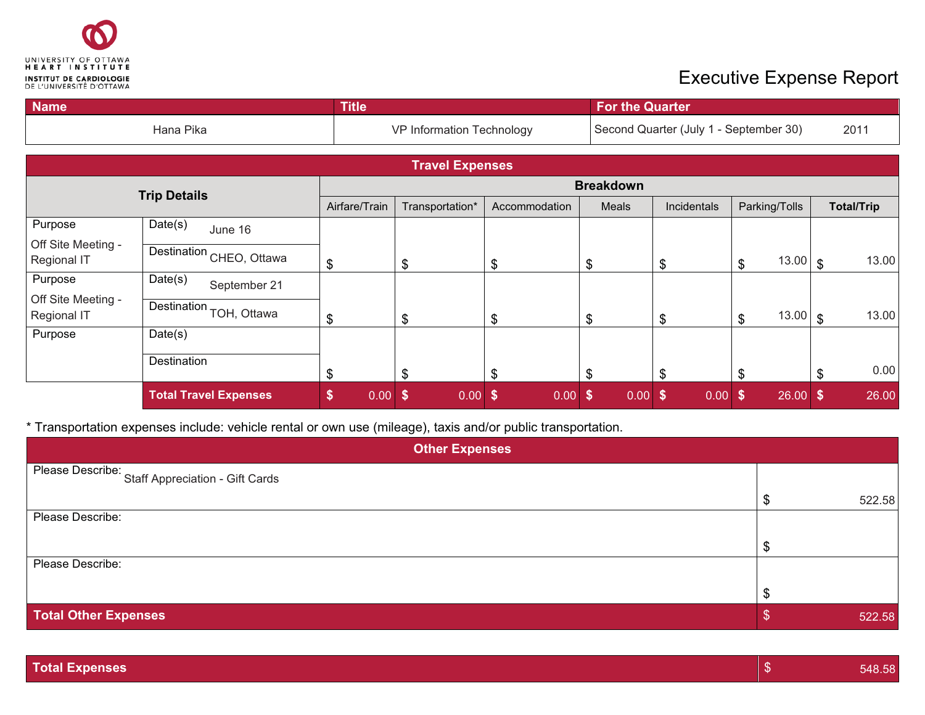

## Executive Expense Report

| <b>Name</b>                       |                                     | <b>Title</b>     |                           |                           | For the Quarter                        |                                        |                                         |                   |  |  |  |  |  |
|-----------------------------------|-------------------------------------|------------------|---------------------------|---------------------------|----------------------------------------|----------------------------------------|-----------------------------------------|-------------------|--|--|--|--|--|
|                                   | Hana Pika                           |                  | VP Information Technology |                           |                                        | Second Quarter (July 1 - September 30) |                                         |                   |  |  |  |  |  |
|                                   |                                     |                  | <b>Travel Expenses</b>    |                           |                                        |                                        |                                         |                   |  |  |  |  |  |
|                                   | <b>Trip Details</b>                 | <b>Breakdown</b> |                           |                           |                                        |                                        |                                         |                   |  |  |  |  |  |
|                                   |                                     | Airfare/Train    | Transportation*           | Accommodation             | Meals                                  | Incidentals                            | Parking/Tolls                           | <b>Total/Trip</b> |  |  |  |  |  |
| Purpose                           | Date(s)<br>June 16                  |                  |                           |                           |                                        |                                        |                                         |                   |  |  |  |  |  |
| Off Site Meeting -<br>Regional IT | Destination CHEO, Ottawa            | \$               | $\boldsymbol{\mathsf{S}}$ | \$                        | \$                                     | \$                                     | $13.00 \, \text{S}$<br>\$               | 13.00             |  |  |  |  |  |
| Purpose                           | Date(s)<br>September 21             |                  |                           |                           |                                        |                                        |                                         |                   |  |  |  |  |  |
| Off Site Meeting -<br>Regional IT | Destination <sub>TOH</sub> , Ottawa | \$               | $\boldsymbol{\mathsf{S}}$ | \$                        | \$                                     | \$                                     | $13.00 \, \text{S}$<br>\$               | 13.00             |  |  |  |  |  |
| Purpose                           | Date(s)                             |                  |                           |                           |                                        |                                        |                                         |                   |  |  |  |  |  |
|                                   | Destination                         | \$               | $\mathcal{S}$             | \$                        | \$                                     | \$                                     | \$                                      | 0.00<br>\$        |  |  |  |  |  |
|                                   | <b>Total Travel Expenses</b>        | \$<br>0.00       | $\sqrt{5}$<br>0.00        | $\boldsymbol{\$}$<br>0.00 | $\boldsymbol{\mathsf{s}}$<br>$0.00$ \$ | 0.00                                   | $26.00$ \$<br>$\boldsymbol{\mathsf{s}}$ | 26.00             |  |  |  |  |  |

\* Transportation expenses include: vehicle rental or own use (mileage), taxis and/or public transportation.

| <b>Other Expenses</b>                            |    |        |  |  |  |  |  |  |
|--------------------------------------------------|----|--------|--|--|--|--|--|--|
| Please Describe: Staff Appreciation - Gift Cards |    |        |  |  |  |  |  |  |
|                                                  |    | 522.58 |  |  |  |  |  |  |
| Please Describe:                                 |    |        |  |  |  |  |  |  |
|                                                  |    |        |  |  |  |  |  |  |
| Please Describe:                                 |    |        |  |  |  |  |  |  |
|                                                  |    |        |  |  |  |  |  |  |
| <b>Total Other Expenses</b>                      | кD | 522.58 |  |  |  |  |  |  |

| <b>Total Expenses</b> | 548.58 |
|-----------------------|--------|
|                       |        |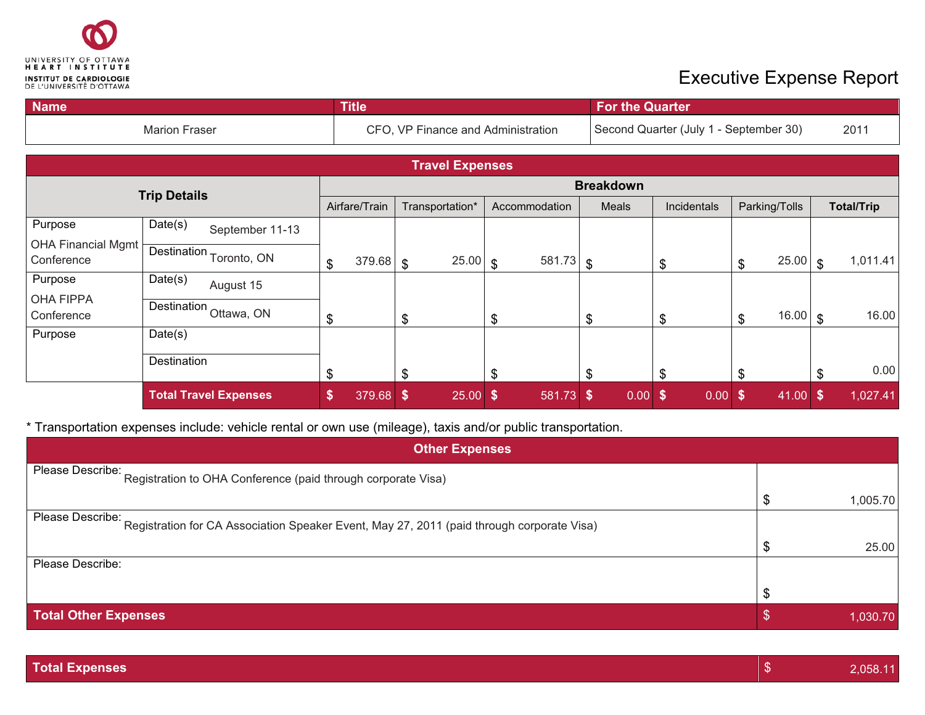

## Executive Expense Report

| <b>Name</b>                      |             |                              |                                    | <b>Title</b>  |                 |                        |               |             |                                        | <b>For the Quarter</b> |             |      |                |       |                   |          |  |  |  |
|----------------------------------|-------------|------------------------------|------------------------------------|---------------|-----------------|------------------------|---------------|-------------|----------------------------------------|------------------------|-------------|------|----------------|-------|-------------------|----------|--|--|--|
| <b>Marion Fraser</b>             |             |                              | CFO, VP Finance and Administration |               |                 |                        |               |             | Second Quarter (July 1 - September 30) |                        |             |      |                | 2011  |                   |          |  |  |  |
|                                  |             |                              |                                    |               |                 | <b>Travel Expenses</b> |               |             |                                        |                        |             |      |                |       |                   |          |  |  |  |
|                                  |             |                              | <b>Breakdown</b>                   |               |                 |                        |               |             |                                        |                        |             |      |                |       |                   |          |  |  |  |
| <b>Trip Details</b>              |             |                              |                                    | Airfare/Train | Transportation* |                        | Accommodation |             | Meals                                  |                        | Incidentals |      | Parking/Tolls  |       | <b>Total/Trip</b> |          |  |  |  |
| Purpose                          | Date(s)     | September 11-13              |                                    |               |                 |                        |               |             |                                        |                        |             |      |                |       |                   |          |  |  |  |
| OHA Financial Mgmt<br>Conference |             | Destination Toronto, ON      | $\frac{1}{2}$                      | 379.68        | $\sqrt[6]{3}$   | $25.00$ \$             |               | $581.73$ \$ |                                        |                        | \$          |      | \$             | 25.00 | $\mathcal{S}$     | 1,011.41 |  |  |  |
| Purpose                          | Date(s)     | August 15                    |                                    |               |                 |                        |               |             |                                        |                        |             |      |                |       |                   |          |  |  |  |
| <b>OHA FIPPA</b><br>Conference   |             | Destination Ottawa, ON       | \$                                 |               | \$              |                        | \$            |             | \$                                     |                        | \$          |      | $\mathfrak{S}$ | 16.00 | \$                | 16.00    |  |  |  |
| Purpose                          | Date(s)     |                              |                                    |               |                 |                        |               |             |                                        |                        |             |      |                |       |                   |          |  |  |  |
|                                  | Destination |                              | \$                                 |               | \$              |                        |               |             | \$                                     |                        | \$          |      | \$             |       |                   | 0.00     |  |  |  |
|                                  |             | <b>Total Travel Expenses</b> | $\boldsymbol{\$}$                  | 379.68        | \$              | $25.00$ \$             |               | 581.73 \$   |                                        | $0.00$ \$              |             | 0.00 | - \$           | 41.00 | S                 | 1,027.41 |  |  |  |

\* Transportation expenses include: vehicle rental or own use (mileage), taxis and/or public transportation.

| <b>Other Expenses</b>                                                                                         |  |          |  |  |  |  |  |  |
|---------------------------------------------------------------------------------------------------------------|--|----------|--|--|--|--|--|--|
| Please Describe: Registration to OHA Conference (paid through corporate Visa)                                 |  |          |  |  |  |  |  |  |
|                                                                                                               |  | 1,005.70 |  |  |  |  |  |  |
| Please Describe:<br>Registration for CA Association Speaker Event, May 27, 2011 (paid through corporate Visa) |  |          |  |  |  |  |  |  |
|                                                                                                               |  | 25.00    |  |  |  |  |  |  |
| Please Describe:                                                                                              |  |          |  |  |  |  |  |  |
|                                                                                                               |  |          |  |  |  |  |  |  |
| <b>Total Other Expenses</b>                                                                                   |  | 1,030.70 |  |  |  |  |  |  |